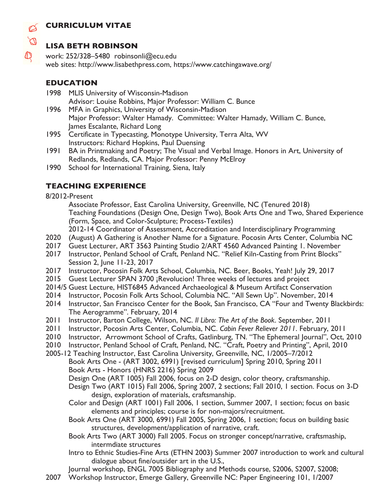## **CURRICULUM VITAE**



#### **LISA BETH ROBINSON**

work: 252/328–5480 robinsonli@ecu.edu web sites: http://www.lisabethpress.com, https://www.catchingawave.org/

### **EDUCATION**

- 1998 MLIS University of Wisconsin-Madison Advisor: Louise Robbins, Major Professor: William C. Bunce
- 1996 MFA in Graphics, University of Wisconsin-Madison Major Professor: Walter Hamady. Committee: Walter Hamady, William C. Bunce, James Escalante, Richard Long
- 1995 Certificate in Typecasting, Monotype University, Terra Alta, WV Instructors: Richard Hopkins, Paul Duensing
- 1991 BA in Printmaking and Poetry; The Visual and Verbal Image. Honors in Art, University of Redlands, Redlands, CA. Major Professor: Penny McElroy
- 1990 School for International Training, Siena, Italy

## **TEACHING EXPERIENCE**

8/2012-Present

Associate Professor, East Carolina University, Greenville, NC (Tenured 2018) Teaching Foundations (Design One, Design Two), Book Arts One and Two, Shared Experience (Form, Space, and Color-Sculpture; Process-Textiles)

2012-14 Coordinator of Assessment, Accreditation and Interdisciplinary Programming

- 2020 (August) A Gathering is Another Name for a Signature. Pocosin Arts Center, Columbia NC
- 2017 Guest Lecturer, ART 3563 Painting Studio 2/ART 4560 Advanced Painting 1. November
- 2017 Instructor, Penland School of Craft, Penland NC. "Relief Kiln-Casting from Print Blocks" Session 2, June 11-23, 2017
- 2017 Instructor, Pocosin Folk Arts School, Columbia, NC. Beer, Books, Yeah! July 29, 2017
- 2015 Guest Lecturer SPAN 3700 ¡Revolucion! Three weeks of lectures and project
- 2014/5 Guest Lecture, HIST6845 Advanced Archaeological & Museum Artifact Conservation
- 2014 Instructor, Pocosin Folk Arts School, Columbia NC. "All Sewn Up". November, 2014
- 2014 Instructor, San Francisco Center for the Book, San Francisco, CA "Four and Twenty Blackbirds: The Aerogramme". February, 2014
- 2011 Instructor, Barton College, Wilson, NC. *Il Libro: The Art of the Book*. September, 2011
- 2011 Instructor, Pocosin Arts Center, Columbia, NC. *Cabin Fever Reliever 2011*. February, 2011
- 2010 Instructor, Arrowmont School of Crafts, Gatlinburg, TN. "The Ephemeral Journal", Oct, 2010
- 2010 Instructor, Penland School of Craft, Penland, NC. "Craft, Poetry and Printing", April, 2010
- 2005-12 Teaching Instructor, East Carolina University, Greenville, NC, 1/2005–7/2012 Book Arts One - (ART 3002, 6991) [revised curriculum] Spring 2010, Spring 2011 Book Arts - Honors (HNRS 2216) Spring 2009
	- Design One (ART 1005) Fall 2006, focus on 2-D design, color theory, craftsmanship.
	- Design Two (ART 1015) Fall 2006, Spring 2007, 2 sections; Fall 2010, 1 section. Focus on 3-D design, exploration of materials, craftsmanship.
	- Color and Design (ART 1001) Fall 2006, 1 section, Summer 2007, 1 section; focus on basic elements and principles; course is for non-majors/recruitment.
	- Book Arts One (ART 3000, 6991) Fall 2005, Spring 2006, 1 section; focus on building basic structures, development/application of narrative, craft.
	- Book Arts Two (ART 3000) Fall 2005. Focus on stronger concept/narrative, craftsmaship, intermdiate structures
	- Intro to Ethnic Studies-Fine Arts (ETHN 2003) Summer 2007 introduction to work and cultural dialogue about fine/outsider art in the U.S.,

Journal workshop, ENGL 7005 Bibliography and Methods course, S2006, S2007, S2008;

2007 Workshop Instructor, Emerge Gallery, Greenville NC: Paper Engineering 101, 1/2007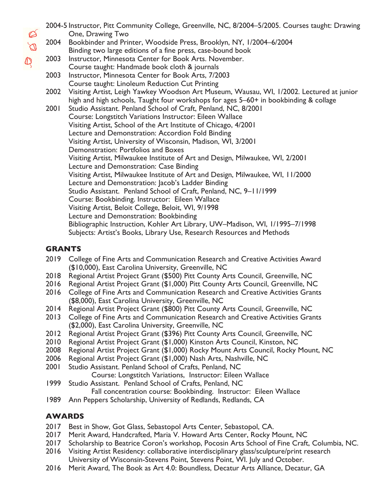2004-5 Instructor, Pitt Community College, Greenville, NC, 8/2004–5/2005. Courses taught: Drawing One, Drawing Two 2004 Bookbinder and Printer, Woodside Press, Brooklyn, NY, 1/2004–6/2004 Binding two large editions of a fine press, case-bound book 2003 Instructor, Minnesota Center for Book Arts. November. Course taught: Handmade book cloth & journals 2003 Instructor, Minnesota Center for Book Arts, 7/2003 Course taught: Linoleum Reduction Cut Printing 2002 Visiting Artist, Leigh Yawkey Woodson Art Museum, Wausau, WI, 1/2002. Lectured at junior high and high schools, Taught four workshops for ages 5–60+ in bookbinding & collage 2001 Studio Assistant. Penland School of Craft, Penland, NC, 8/2001 Course: Longstitch Variations Instructor: Eileen Wallace Visiting Artist, School of the Art Institute of Chicago, 4/2001 Lecture and Demonstration: Accordion Fold Binding Visiting Artist, University of Wisconsin, Madison, WI, 3/2001 Demonstration: Portfolios and Boxes Visiting Artist, Milwaukee Institute of Art and Design, Milwaukee, WI, 2/2001 Lecture and Demonstration: Case Binding Visiting Artist, Milwaukee Institute of Art and Design, Milwaukee, WI, 11/2000 Lecture and Demonstration: Jacob's Ladder Binding Studio Assistant. Penland School of Craft, Penland, NC, 9–11/1999 Course: Bookbinding. Instructor: Eileen Wallace Visiting Artist, Beloit College, Beloit, WI, 9/1998 Lecture and Demonstration: Bookbinding Bibliographic Instruction, Kohler Art Library, UW–Madison, WI, 1/1995–7/1998 Subjects: Artist's Books, Library Use, Research Resources and Methods

#### **GRANTS**

 $\varnothing$  $\overline{\mathbb{Q}}$ 

 $\mathbb{Q}$ 

- 2019 College of Fine Arts and Communication Research and Creative Activities Award (\$10,000), East Carolina University, Greenville, NC
- 2018 Regional Artist Project Grant (\$500) Pitt County Arts Council, Greenville, NC
- 2016 Regional Artist Project Grant (\$1,000) Pitt County Arts Council, Greenville, NC
- 2016 College of Fine Arts and Communication Research and Creative Activities Grants (\$8,000), East Carolina University, Greenville, NC
- 2014 Regional Artist Project Grant (\$800) Pitt County Arts Council, Greenville, NC
- 2013 College of Fine Arts and Communication Research and Creative Activities Grants (\$2,000), East Carolina University, Greenville, NC
- 2012 Regional Artist Project Grant (\$396) Pitt County Arts Council, Greenville, NC
- 2010 Regional Artist Project Grant (\$1,000) Kinston Arts Council, Kinston, NC
- 2008 Regional Artist Project Grant (\$1,000) Rocky Mount Arts Council, Rocky Mount, NC
- 2006 Regional Artist Project Grant (\$1,000) Nash Arts, Nashville, NC
- 2001 Studio Assistant. Penland School of Crafts, Penland, NC
	- Course: Longstitch Variations, Instructor: Eileen Wallace
- 1999 Studio Assistant. Penland School of Crafts, Penland, NC Fall concentration course: Bookbinding. Instructor: Eileen Wallace
- 1989 Ann Peppers Scholarship, University of Redlands, Redlands, CA

### **AWARDS**

- 2017 Best in Show, Got Glass, Sebastopol Arts Center, Sebastopol, CA.
- 2017 Merit Award, Handcrafted, Maria V. Howard Arts Center, Rocky Mount, NC
- 2017 Scholarship to Beatrice Coron's workshop, Pocosin Arts School of Fine Craft, Columbia, NC.
- 2016 Visiting Artist Residency: collaborative interdisciplinary glass/sculpture/print research University of Wisconsin-Stevens Point, Stevens Point, WI. July and October.
- 2016 Merit Award, The Book as Art 4.0: Boundless, Decatur Arts Alliance, Decatur, GA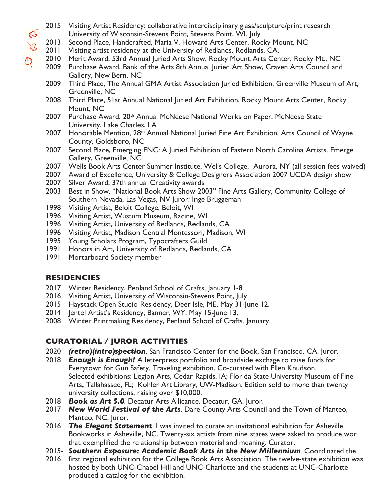- 2015 Visiting Artist Residency: collaborative interdisciplinary glass/sculpture/print research University of Wisconsin-Stevens Point, Stevens Point, WI. July.
- 2013 Second Place, Handcrafted, Maria V. Howard Arts Center, Rocky Mount, NC
- 2011 Visiting artist residency at the University of Redlands, Redlands, CA.
- 2010 Merit Award, 53rd Annual Juried Arts Show, Rocky Mount Arts Center, Rocky Mt., NC
- 2009 Purchase Award, Bank of the Arts 8th Annual Juried Art Show, Craven Arts Council and Gallery, New Bern, NC
- 2009 Third Place, The Annual GMA Artist Association Juried Exhibition, Greenville Museum of Art, Greenville, NC
- 2008 Third Place, 51st Annual National Juried Art Exhibition, Rocky Mount Arts Center, Rocky Mount, NC
- 2007 Purchase Award, 20<sup>th</sup> Annual McNeese National Works on Paper, McNeese State University, Lake Charles, LA
- 2007 Honorable Mention, 28<sup>th</sup> Annual National Juried Fine Art Exhibition, Arts Council of Wayne County, Goldsboro, NC
- 2007 Second Place, Emerging ENC: A Juried Exhibition of Eastern North Carolina Artists. Emerge Gallery, Greenville, NC
- 2007 Wells Book Arts Center Summer Institute, Wells College, Aurora, NY (all session fees waived)
- 2007 Award of Excellence, University & College Designers Association 2007 UCDA design show
- 2007 Silver Award, 37th annual Creativity awards
- 2003 Best in Show, "National Book Arts Show 2003" Fine Arts Gallery, Community College of Southern Nevada, Las Vegas, NV Juror: Inge Bruggeman
- 1998 Visiting Artist, Beloit College, Beloit, WI
- 1996 Visiting Artist, Wustum Museum, Racine, WI
- 1996 Visiting Artist, University of Redlands, Redlands, CA
- 1996 Visiting Artist, Madison Central Montessori, Madison, WI
- 1995 Young Scholars Program, Typocrafters Guild
- 1991 Honors in Art, University of Redlands, Redlands, CA
- 1991 Mortarboard Society member

### **RESIDENCIES**

- 2017 Winter Residency, Penland School of Crafts, January 1-8
- 2016 Visiting Artist, University of Wisconsin-Stevens Point, July
- 2015 Haystack Open Studio Residency, Deer Isle, ME. May 31-June 12.
- 2014 Jentel Artist's Residency, Banner, WY. May 15-June 13.
- 2008 Winter Printmaking Residency, Penland School of Crafts. January.

### **CURATORIAL / JUROR ACTIVITIES**

- 2020 *(retro)(intro)spection*. San Francisco Center for the Book, San Francisco, CA. Juror.
- 2018 *Enough is Enough!* A letterpress portfolio and broadside exchage to raise funds for Everytown for Gun Safety. Traveling exhibition. Co-curated with Ellen Knudson. Selected exhibitions: Legion Arts, Cedar Rapids, IA; Florida State University Museum of Fine Arts, Tallahassee, FL; Kohler Art Library, UW-Madison. Edition sold to more than twenty university collections, raising over \$10,000.
- 2018 *Book as Art 5.0.* Decatur Arts Allicance. Decatur, GA. Juror.
- 2017 *New World Festival of the Arts*. Dare County Arts Council and the Town of Manteo, Manteo, NC. Juror.
- 2016 *The Elegant Statement*. I was invited to curate an invitational exhibition for Asheville Bookworks in Asheville, NC. Twenty-six artists from nine states were asked to produce wor that exemplified the relationship between material and meaning. Curator.
- 2015- *Southern Exposure: Academic Book Arts in the New Millennium.* Coordinated the
- 2016 first regional exhibition for the College Book Arts Association. The twelve-state exhibition was hosted by both UNC-Chapel Hill and UNC-Charlotte and the students at UNC-Charlotte produced a catalog for the exhibition.

 $\varnothing$  $\, \mathbb{Q} \,$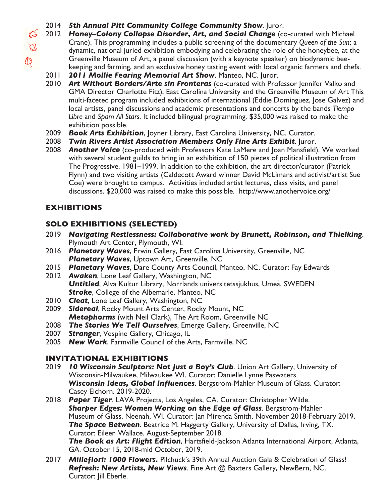- 2014 *5th Annual Pitt Community College Community Show*. Juror.
- 2012 *Honey–Colony Collapse Disorder, Art, and Social Change* (co-curated with Michael Crane). This programming includes a public screening of the documentary *Queen of the Sun*; a dynamic, national juried exhibition embodying and celebrating the role of the honeybee, at the Greenville Museum of Art, a panel discussion (with a keynote speaker) on biodynamic beekeeping and farming, and an exclusive honey tasting event with local organic farmers and chefs.
	- 2011 *2011 Mollie Fearing Memorial Art Show*, Manteo, NC. Juror.
- 2010 *Art Without Borders/Arte sin Fronteras* (co-curated with Professor Jennifer Valko and GMA Director Charlotte Fitz), East Carolina University and the Greenville Museum of Art This multi-faceted program included exhibitions of international (Eddie Dominguez, Jose Galvez) and local artists, panel discussions and academic presentations and concerts by the bands *Tiempo Libre* and *Spam All Stars*. It included bilingual programming. \$35,000 was raised to make the exhibition possible.
- 2009 *Book Arts Exhibition*, Joyner Library, East Carolina University, NC. Curator.
- 2008 *Twin Rivers Artist Association Members Only Fine Arts Exhibit*. Juror.
- 2008 *Another Voice* (co-produced with Professors Kate LaMere and Joan Mansfield). We worked with several student guilds to bring in an exhibition of 150 pieces of political illustration from The Progressive, 1981–1999. In addition to the exhibition, the art director/curator (Patrick Flynn) and two visiting artists (Caldecott Award winner David McLimans and activist/artist Sue Coe) were brought to campus. Activities included artist lectures, class visits, and panel discussions. \$20,000 was raised to make this possible. http://www.anothervoice.org/

# **EXHIBITIONS**

## **SOLO EXHIBITIONS (SELECTED)**

- 2019 *Navigating Restlessness: Collaborative work by Brunett, Robinson, and Thielking*. Plymouth Art Center, Plymouth, WI.
- 2016 *Planetary Waves*, Erwin Gallery, East Carolina University, Greenville, NC *Planetary Waves*, Uptown Art, Greenville, NC
- 2015 *Planetary Waves*, Dare County Arts Council, Manteo, NC. Curator: Fay Edwards
- 2012 *Awaken*, Lone Leaf Gallery, Washington, NC *Untitled*, Alva Kultur Library, Norrlands universitetssjukhus, Umeå, SWEDEN *Stroke*, College of the Albemarle, Manteo, NC
- 2010 *Cleat*, Lone Leaf Gallery, Washington, NC
- 2009 *Sidereal*, Rocky Mount Arts Center, Rocky Mount, NC *Metaphorms* (with Neil Clark), The Art Room, Greenville NC
- 2008 *The Stories We Tell Ourselves*, Emerge Gallery, Greenville, NC
- 2007 *Stranger*, Vespine Gallery, Chicago, IL
- 2005 *New Work*, Farmville Council of the Arts, Farmville, NC

### **INVITATIONAL EXHIBITIONS**

- 2019 **10 Wisconsin Sculptors: Not Just a Boy's Club**. Union Art Gallery, University of Wisconsin-Milwaukee, Milwaukee WI. Curator: Danielle Lynne Paswaters *Wisconsin Ideas, Global Influences*. Bergstrom-Mahler Museum of Glass. Curator: Casey Eichorn. 2019-2020.
- 2018 *Paper Tiger*. LAVA Projects, Los Angeles, CA. Curator: Christopher Wilde. *Sharper Edges: Women Working on the Edge of Glass*. Bergstrom-Mahler Museum of Glass, Neenah, WI. Curator: Jan Mirenda Smith. November 2018-February 2019. *The Space Between*. Beatrice M. Haggerty Gallery, University of Dallas, Irving, TX. Curator: Eileen Wallace. August-September 2018. *The Book as Art: Flight Edition*, Hartsfield-Jackson Atlanta International Airport, Atlanta, GA. October 15, 2018-mid October, 2019.
- 2017 *Millefiori: 1000 Flowers.* Pilchuck's 39th Annual Auction Gala & Celebration of Glass! *Refresh: New Artists, New Views*. Fine Art @ Baxters Gallery, NewBern, NC. Curator: Jill Eberle.

 $\varnothing$  $\varnothing$  $\mathbb{Q}$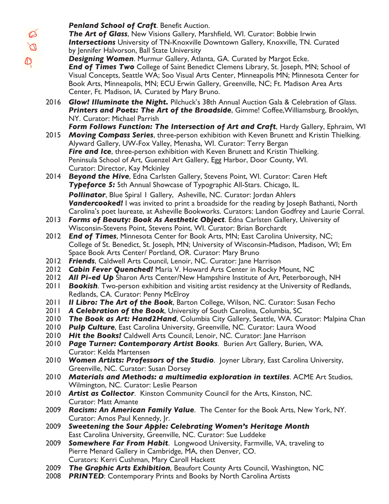*The Art of Glass*, New Visions Gallery, Marshfield, WI. Curator: Bobbie Irwin *Intersections* University of TN-Knoxville Downtown Gallery, Knoxville, TN. Curated by Jennifer Halvorson, Ball State University

- *Designing Women*. Murmur Gallery, Atlanta, GA. Curated by Margot Ecke. **End of Times Two** College of Saint Benedict Clemens Library, St. Joseph, MN; School of Visual Concepts, Seattle WA; Soo Visual Arts Center, Minneapolis MN; Minnesota Center for Book Arts, Minneapolis, MN; ECU Erwin Gallery, Greenville, NC; Ft. Madison Area Arts Center, Ft. Madison, IA. Curated by Mary Bruno.
- 2016 *Glow! Illuminate the Night.* Pilchuck's 38th Annual Auction Gala & Celebration of Glass. *Printers and Poets: The Art of the Broadside*, Gimme! Coffee,Williamsburg, Brooklyn, NY. Curator: Michael Parrish

**Form Follows Function: The Intersection of Art and Craft**, Hardy Gallery, Ephraim, WI

- 2015 *Moving Compass Series*, three-person exhibition with Keven Brunett and Kristin Thielking. Alyward Gallery, UW-Fox Valley, Menasha, WI. Curator: Terry Bergan **Fire and Ice**, three-person exhibition with Keven Brunett and Kristin Thielking. Peninsula School of Art, Guenzel Art Gallery, Egg Harbor, Door County, WI. Curator: Director, Kay Mckinley
- 2014 *Beyond the Hive*, Edna Carlsten Gallery, Stevens Point, WI. Curator: Caren Heft *Typeforce 5:* 5th Annual Showcase of Typographic All-Stars. Chicago, IL. **Pollinator**, Blue Spiral 1 Gallery, Asheville, NC. Curator: Jordan Ahlers

**Vandercooked!** I was invited to print a broadside for the reading by Joseph Bathanti, North Carolina's poet laureate, at Asheville Bookworks. Curators: Landon Godfrey and Laurie Corral.

- 2013 *Forms of Beauty: Book As Aesthetic Object*. Edna Carlsten Gallery, University of Wisconsin-Stevens Point, Stevens Point, WI. Curator: Brian Borchardt
- 2012 *End of Times*, Minnesota Center for Book Arts, MN; East Carolina University, NC; College of St. Benedict, St. Joseph, MN; University of Wisconsin-Madison, Madison, WI; Em Space Book Arts Center/ Portland, OR. Curator: Mary Bruno
- 2012 *Friends*, Caldwell Arts Council, Lenoir, NC. Curator: Jane Harrison
- 2012 *Cabin Fever Quenched!* Maria V. Howard Arts Center in Rocky Mount, NC
- 2012 **All Pi-ed Up** Sharon Arts Center/New Hampshire Institute of Art, Peterborough, NH
- 2011 *Bookish*. Two-person exhibition and visiting artist residency at the University of Redlands, Redlands, CA. Curator: Penny McElroy
- 2011 *Il Libro: The Art of the Book*, Barton College, Wilson, NC. Curator: Susan Fecho
- 2011 *A Celebration of the Book*, University of South Carolina, Columbia, SC
- 2010 *The Book as Art: Hand2Hand*, Columbia City Gallery, Seattle, WA. Curator: Malpina Chan
- 2010 *Pulp Culture*, East Carolina University, Greenville, NC. Curator: Laura Wood
- 2010 *Hit the Books!* Caldwell Arts Council, Lenoir, NC. Curator: Jane Harrison
- 2010 *Page Turner: Contemporary Artist Books*. Burien Art Gallery, Burien, WA. Curator: Kelda Martensen
- 2010 *Women Artists: Professors of the Studio*. Joyner Library, East Carolina University, Greenville, NC. Curator: Susan Dorsey
- 2010 *Materials and Methods: a multimedia exploration in textiles*. ACME Art Studios, Wilmington, NC. Curator: Leslie Pearson
- 2010 *Artist as Collector*. Kinston Community Council for the Arts, Kinston, NC. Curator: Matt Amante
- 2009 *Racism: An American Family Value*. The Center for the Book Arts, New York, NY. Curator: Amos Paul Kennedy, Jr.
- 2009 *Sweetening the Sour Apple: Celebrating Women's Heritage Month* East Carolina University, Greenville, NC. Curator: Sue Luddeke
- 2009 *Somewhere Far From Habit*. Longwood University, Farmville, VA, traveling to Pierre Menard Gallery in Cambridge, MA, then Denver, CO. Curators: Kerri Cushman, Mary Caroll Hackett
- 2009 *The Graphic Arts Exhibition*, Beaufort County Arts Council, Washington, NC
- 2008 *PRINTED*: Contemporary Prints and Books by North Carolina Artists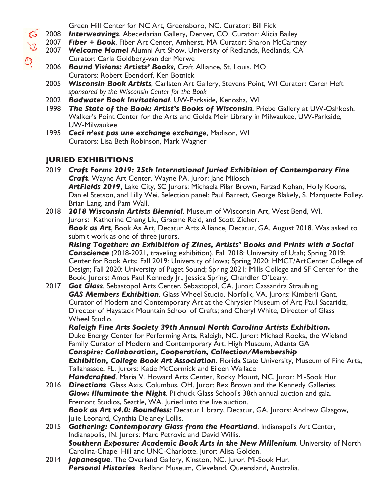Green Hill Center for NC Art, Greensboro, NC. Curator: Bill Fick

2008 *Interweavings*, Abecedarian Gallery, Denver, CO. Curator: Alicia Bailey

- 2007 *Fiber + Book*, Fiber Art Center, Amherst, MA Curator: Sharon McCartney
- 2007 **Welcome Home!** Alumni Art Show, University of Redlands, Redlands, CA Curator: Carla Goldberg-van der Merwe
- 2006 *Bound Visions: Artists' Books*, Craft Alliance, St. Louis, MO Curators: Robert Ebendorf, Ken Botnick
- 2005 *Wisconsin Book Artists,* Carlsten Art Gallery, Stevens Point, WI Curator: Caren Heft *sponsored by the Wisconsin Center for the Book*
- 2002 *Badwater Book Invitational*, UW-Parkside, Kenosha, WI
- 1998 *The State of the Book: Artist's Books of Wisconsin*, Priebe Gallery at UW-Oshkosh, Walker's Point Center for the Arts and Golda Meir Library in Milwaukee, UW-Parkside, UW-Milwaukee
- 1995 *Ceci n'est pas une exchange exchange*, Madison, WI Curators: Lisa Beth Robinson, Mark Wagner

# **JURIED EXHIBITIONS**

 $\, \mathbb{Q} \,$ 

2019 *Craft Forms 2019: 25th International Juried Exhibition of Contemporary Fine Craft*. Wayne Art Center, Wayne PA. Juror: Jane Milosch ArtFields 2019, Lake City, SC Jurors: Michaela Pilar Brown, Farzad Kohan, Holly Koons, Daniel Stetson, and Lilly Wei. Selection panel: Paul Barrett, George Blakely, S. Marquette Folley, Brian Lang, and Pam Wall.

2018 *2018 Wisconsin Artists Biennial*. Museum of Wisconsin Art, West Bend, WI. Jurors: Katherine Chang Liu, Graeme Reid, and Scott Zieher. *Book as Art*, Book As Art, Decatur Arts Alliance, Decatur, GA. August 2018. Was asked to submit work as one of three jurors.

*Rising Together: an Exhibition of Zines, Artists' Books and Prints with a Social Conscience* (2018-2021, traveling exhibition). Fall 2018: University of Utah; Spring 2019: Center for Book Arts; Fall 2019: University of Iowa; Spring 2020: HMCT/ArtCenter College of Design; Fall 2020: University of Puget Sound; Spring 2021: Mills College and SF Center for the Book. Jurors: Amos Paul Kennedy Jr., Jessica Spring, Chandler O'Leary.

2017 *Got Glass*. Sebastopol Arts Center, Sebastopol, CA. Juror: Cassandra Straubing *GAS Members Exhibition*. Glass Wheel Studio, Norfolk, VA. Jurors: Kimberli Gant, Curator of Modern and Contemporary Art at the Chrysler Museum of Art; Paul Sacaridiz, Director of Haystack Mountain School of Crafts; and Cheryl White, Director of Glass Wheel Studio.

*Raleigh Fine Arts Society 39th Annual North Carolina Artists Exhibition.* Duke Energy Center for Performing Arts, Raleigh, NC. Juror: Michael Rooks, the Wieland Family Curator of Modern and Contemporary Art, High Museum, Atlanta GA *Conspire: Collaboration, Cooperation, Collection/Membership Exhibition, College Book Art Association*. Florida State University, Museum of Fine Arts, Tallahassee, FL. Jurors: Katie McCormick and Eileen Wallace *Handcrafted*. Maria V. Howard Arts Center, Rocky Mount, NC. Juror: Mi-Sook Hur

- 2016 *Directions*. Glass Axis, Columbus, OH. Juror: Rex Brown and the Kennedy Galleries. *Glow: Illuminate the Night*. Pilchuck Glass School's 38th annual auction and gala. Fremont Studios, Seattle, WA. Juried into the live auction. *Book as Art v4.0: Boundless:* Decatur Library, Decatur, GA. Jurors: Andrew Glasgow, Julie Leonard, Cynthia Delaney Lollis.
- 2015 *Gathering: Contemporary Glass from the Heartland*. Indianapolis Art Center, Indianapolis, IN. Jurors: Marc Petrovic and David Willis. *Southern Exposure: Academic Book Arts in the New Millenium*. University of North Carolina-Chapel Hill and UNC-Charlotte. Juror: Alisa Golden.
- 2014 *Japanesque*. The Overland Gallery, Kinston, NC. Juror: Mi-Sook Hur. *Personal Histories*. Redland Museum, Cleveland, Queensland, Australia.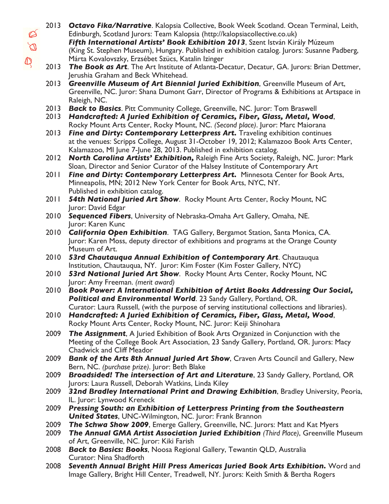- 2013 *Octavo Fika/Narrative*. Kalopsia Collective, Book Week Scotland. Ocean Terminal, Leith,  $\varnothing$ Edinburgh, Scotland Jurors: Team Kalopsia (http://kalopsiacollective.co.uk)  $\overline{\mathbb{Q}}$ *Fifth International Artists' Book Exhibition 2013*, Szent István Király Múzeum (King St. Stephen Museum), Hungary. Published in exhibition catalog. Jurors: Susanne Padberg,  $\mathbb{Q}$ Márta Kovalovszky, Erzsébet Szücs, Katalin Izinger 2013 *The Book as Art*. The Art Institute of Atlanta-Decatur, Decatur, GA. Jurors: Brian Dettmer, Jerushia Graham and Beck Whitehead. 2013 *Greenville Museum of Art Biennial Juried Exhibition*, Greenville Museum of Art, Greenville, NC. Juror: Shana Dumont Garr, Director of Programs & Exhibitions at Artspace in Raleigh, NC. 2013 *Back to Basics*. Pitt Community College, Greenville, NC. Juror: Tom Braswell 2013 *Handcrafted: A Juried Exhibition of Ceramics, Fiber, Glass, Metal, Wood*, Rocky Mount Arts Center, Rocky Mount, NC. *(Second place)*. Juror: Marc Maiorana 2013 *Fine and Dirty: Contemporary Letterpress Art.* Traveling exhibition continues at the venues: Scripps College, August 31-October 19, 2012; Kalamazoo Book Arts Center, Kalamazoo, MI June 7-June 28, 2013. Published in exhibition catalog. 2012 *North Carolina Artists' Exhibition,* Raleigh Fine Arts Society, Raleigh, NC. Juror: Mark Sloan, Director and Senior Curator of the Halsey Institute of Contemporary Art 2011 **Fine and Dirty: Contemporary Letterpress Art.** Minnesota Center for Book Arts, Minneapolis, MN; 2012 New York Center for Book Arts, NYC, NY. Published in exhibition catalog. 2011 *54th National Juried Art Show*. Rocky Mount Arts Center, Rocky Mount, NC Juror: David Edgar 2010 *Sequenced Fibers*, University of Nebraska-Omaha Art Gallery, Omaha, NE. Juror: Karen Kunc 2010 *California Open Exhibition*. TAG Gallery, Bergamot Station, Santa Monica, CA. Juror: Karen Moss, deputy director of exhibitions and programs at the Orange County Museum of Art. 2010 *53rd Chautauqua Annual Exhibition of Contemporary Art*. Chautauqua Institution, Chautauqua, NY. Juror: Kim Foster (Kim Foster Gallery, NYC) 2010 *53rd National Juried Art Show*. Rocky Mount Arts Center, Rocky Mount, NC Juror: Amy Freeman. *(merit award)* 2010 *Book Power: A International Exhibition of Artist Books Addressing Our Social, Political and Environmental World*. 23 Sandy Gallery, Portland, OR. Curator: Laura Russell, (with the purpose of serving institutional collections and libraries). 2010 *Handcrafted: A Juried Exhibition of Ceramics, Fiber, Glass, Metal, Wood*, Rocky Mount Arts Center, Rocky Mount, NC. Juror: Keiji Shinohara 2009 *The Assignment*, A Juried Exhibition of Book Arts Organized in Conjunction with the Meeting of the College Book Art Association, 23 Sandy Gallery, Portland, OR. Jurors: Macy Chadwick and Cliff Meador 2009 *Bank of the Arts 8th Annual Juried Art Show*, Craven Arts Council and Gallery, New Bern, NC. *(purchase prize)*. Juror: Beth Blake 2009 *Broadsided! The intersection of Art and Literature*, 23 Sandy Gallery, Portland, OR Jurors: Laura Russell, Deborah Watkins, Linda Kiley 2009 *32nd Bradley International Print and Drawing Exhibition*, Bradley University, Peoria, IL. Juror: Lynwood Kreneck 2009 *Pressing South: an Exhibition of Letterpress Printing from the Southeastern United States*, UNC-Wilmington, NC. Juror: Frank Brannon 2009 *The Schwa Show 2009*, Emerge Gallery, Greenville, NC. Jurors: Matt and Kat Myers 2009 *The Annual GMA Artist Association Juried Exhibition (Third Place)*, Greenville Museum of Art, Greenville, NC. Juror: Kiki Farish
	- 2008 *Back to Basics: Books*, Noosa Regional Gallery, Tewantin QLD, Australia Curator: Nina Shadforth
	- 2008 *Seventh Annual Bright Hill Press Americas Juried Book Arts Exhibition.* Word and Image Gallery, Bright Hill Center, Treadwell, NY. Jurors: Keith Smith & Bertha Rogers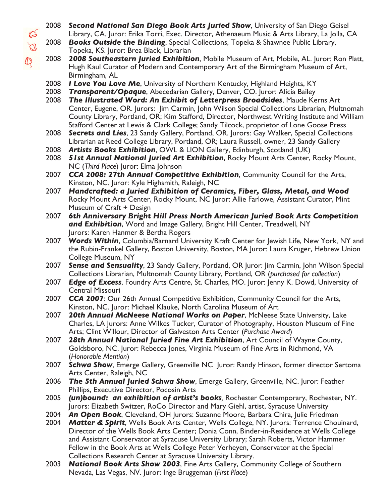- Ø  $\overline{\mathbb{Q}}$  $\mathbb{Q}$
- 2008 *Second National San Diego Book Arts Juried Show*, University of San Diego Geisel Library, CA. Juror: Erika Torri, Exec. Director, Athenaeum Music & Arts Library, La Jolla, CA
- 2008 *Books Outside the Binding*, Special Collections, Topeka & Shawnee Public Library, Topeka, KS. Juror: Brea Black, Librarian
- 2008 *2008 Southeastern Juried Exhibition*, Mobile Museum of Art, Mobile, AL. Juror: Ron Platt, Hugh Kaul Curator of Modern and Contemporary Art of the Birmingham Museum of Art, Birmingham, AL
- 2008 *I Love You Love Me*, University of Northern Kentucky, Highland Heights, KY
- 2008 *Transparent/Opaque*, Abecedarian Gallery, Denver, CO. Juror: Alicia Bailey
- 2008 *The Illustrated Word: An Exhibit of Letterpress Broadsides*, Maude Kerns Art Center, Eugene, OR. Jurors: Jim Carmin, John Wilson Special Collections Librarian, Multnomah County Library, Portland, OR; Kim Stafford, Director, Northwest Writing Institute and William Stafford Center at Lewis & Clark College; Sandy Tilcock, proprietor of Lone Goose Press
- 2008 *Secrets and Lies*, 23 Sandy Gallery, Portland, OR. Jurors: Gay Walker, Special Collections Librarian at Reed College Library, Portland, OR; Laura Russell, owner, 23 Sandy Gallery
- 2008 *Artists Books Exhibition*, OWL & LION Gallery, Edinburgh, Scotland (UK)
- 2008 **51st Annual National Juried Art Exhibition**, Rocky Mount Arts Center, Rocky Mount, NC (*Third Place*) Juror: Elma Johnson
- 2007 *CCA 2008: 27th Annual Competitive Exhibition*, Community Council for the Arts, Kinston, NC. Juror: Kyle Highsmith, Raleigh, NC
- 2007 *Handcrafted: a Juried Exhibition of Ceramics, Fiber, Glass, Metal, and Wood* Rocky Mount Arts Center, Rocky Mount, NC Juror: Allie Farlowe, Assistant Curator, Mint Museum of Craft + Design
- 2007 *6th Anniversary Bright Hill Press North American Juried Book Arts Competition and Exhibition*, Word and Image Gallery, Bright Hill Center, Treadwell, NY Jurors: Karen Hanmer & Bertha Rogers
- 2007 *Words Within*, Columbia/Barnard University Kraft Center for Jewish Life, New York, NY and the Rubin-Frankel Gallery, Boston University, Boston, MA Juror: Laura Kruger, Hebrew Union College Museum, NY
- 2007 *Sense and Sensuality*, 23 Sandy Gallery, Portland, OR Juror: Jim Carmin, John Wilson Special Collections Librarian, Multnomah County Library, Portland, OR (*purchased for collection*)
- 2007 *Edge of Excess*, Foundry Arts Centre, St. Charles, MO. Juror: Jenny K. Dowd, University of Central Missouri
- 2007 *CCA 2007*: Our 26th Annual Competitive Exhibition, Community Council for the Arts, Kinston, NC. Juror: Michael Klauke, North Carolina Museum of Art
- 2007 *20th Annual McNeese National Works on Paper*, McNeese State University, Lake Charles, LA Jurors: Anne Wilkes Tucker, Curator of Photography, Houston Museum of Fine Arts; Clint Willour, Director of Galveston Arts Center (*Purchase Award*)
- 2007 *28th Annual National Juried Fine Art Exhibition*, Art Council of Wayne County, Goldsboro, NC. Juror: Rebecca Jones, Virginia Museum of Fine Arts in Richmond, VA (*Honorable Mention*)
- 2007 *Schwa Show*, Emerge Gallery, Greenville NC Juror: Randy Hinson, former director Sertoma Arts Center, Raleigh, NC
- 2006 *The 5th Annual Juried Schwa Show*, Emerge Gallery, Greenville, NC. Juror: Feather Phillips, Executive Director, Pocosin Arts
- 2005 *(un)bound: an exhibition of artist's books,* Rochester Contemporary, Rochester, NY. Jurors: Elizabeth Switzer, RoCo Director and Mary Giehl, artist, Syracuse University
- 2004 *An Open Book*, Cleveland, OH Jurors: Suzanne Moore, Barbara Chira, Julie Friedman
- 2004 *Matter & Spirit*, Wells Book Arts Center, Wells College, NY. Jurors: Terrence Chouinard, Director of the Wells Book Arts Center; Donia Conn, Binder-in-Residence at Wells College and Assistant Conservator at Syracuse University Library; Sarah Roberts, Victor Hammer Fellow in the Book Arts at Wells College Peter Verheyen, Conservator at the Special Collections Research Center at Syracuse University Library.
- 2003 *National Book Arts Show 2003*, Fine Arts Gallery, Community College of Southern Nevada, Las Vegas, NV. Juror: Inge Bruggeman (*First Place*)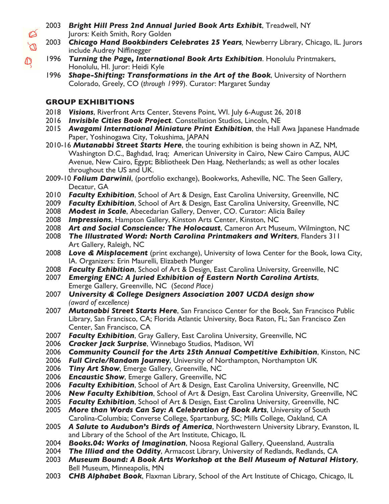- 2003 *Bright Hill Press 2nd Annual Juried Book Arts Exhibit*, Treadwell, NY Jurors: Keith Smith, Rory Golden
- 2003 *Chicago Hand Bookbinders Celebrates 25 Years,* Newberry Library, Chicago, IL. Jurors include Audrey Niffinegger
- 1996 *Turning the Page, International Book Arts Exhibition*. Honolulu Printmakers, Honolulu, HI. Juror: Heidi Kyle
- 1996 *Shape-Shifting: Transformations in the Art of the Book*, University of Northern Colorado, Greely, CO (*through 1999*). Curator: Margaret Sunday

### **GROUP EXHIBITIONS**

Ø  $\overline{\mathbb{Q}}$ 

 $\mathbb{Q}$ 

- 2018 *Visions*, Riverfront Arts Center, Stevens Point, WI. July 6-August 26, 2018
- 2016 *Invisible Cities Book Project*. Constellation Studios, Lincoln, NE
- 2015 *Awagami International Miniature Print Exhibition*, the Hall Awa Japanese Handmade Paper, Yoshinogawa City, Tokushima, JAPAN
- 2010-16 *Mutanabbi Street Starts Here*, the touring exhibition is being shown in AZ, NM, Washington D.C., Baghdad, Iraq; American University in Cairo, New Cairo Campus, AUC Avenue, New Cairo, Egypt; Bibliotheek Den Haag, Netherlands; as well as other locales throughout the US and UK.
- 2009-10 *Folium Darwinii*, (portfolio exchange), Bookworks, Asheville, NC. The Seen Gallery, Decatur, GA
- 2010 *Faculty Exhibition*, School of Art & Design, East Carolina University, Greenville, NC
- 2009 *Faculty Exhibition*, School of Art & Design, East Carolina University, Greenville, NC
- 2008 *Modest in Scale*, Abecedarian Gallery, Denver, CO. Curator: Alicia Bailey
- 2008 *Impressions*, Hampton Gallery, Kinston Arts Center, Kinston, NC
- 2008 *Art and Social Conscience: The Holocaust*, Cameron Art Museum, Wilmington, NC
- 2008 *The Illustrated Word: North Carolina Printmakers and Writers*, Flanders 311 Art Gallery, Raleigh, NC
- 2008 *Love & Misplacement* (print exchange), University of Iowa Center for the Book, Iowa City, IA. Organizers: Erin Maurelli, Elizabeth Munger
- 2008 *Faculty Exhibition*, School of Art & Design, East Carolina University, Greenville, NC
- 2007 *Emerging ENC: A Juried Exhibition of Eastern North Carolina Artists*, Emerge Gallery, Greenville, NC (*Second Place*
- 2007 *University & College Designers Association 2007 UCDA design show (award of excellence)*
- 2007 *Mutanabbi Street Starts Here*, San Francisco Center for the Book, San Francisco Public Library, San Francisco, CA; Florida Atlantic University, Boca Raton, FL; San Francisco Zen Center, San Francisco, CA
- 2007 *Faculty Exhibition*, Gray Gallery, East Carolina University, Greenville, NC
- 2006 *Cracker Jack Surprise*, Winnebago Studios, Madison, WI
- 2006 *Community Council for the Arts 25th Annual Competitive Exhibition*, Kinston, NC
- 2006 *Full Circle/Random Journey*, University of Northampton, Northampton UK
- 2006 *Tiny Art Show*, Emerge Gallery, Greenville, NC
- 2006 *Encaustic Show*, Emerge Gallery, Greenville, NC
- 2006 *Faculty Exhibition*, School of Art & Design, East Carolina University, Greenville, NC
- 2006 *New Faculty Exhibition*, School of Art & Design, East Carolina University, Greenville, NC
- 2005 *Faculty Exhibition*, School of Art & Design, East Carolina University, Greenville, NC
- 2005 *More than Words Can Say: A Celebration of Book Arts*, University of South Carolina-Columbia; Converse College, Spartanburg, SC; Mills College, Oakland, CA
- 2005 *A Salute to Audubon's Birds of America*, Northwestern University Library, Evanston, IL and Library of the School of the Art Institute, Chicago, IL
- 2004 *Books.04: Works of Imagination*, Noosa Regional Gallery, Queensland, Australia
- 2004 *The Illiad and the Oddity*, Armacost Library, University of Redlands, Redlands, CA
- 2003 *Museum Bound: A Book Arts Workshop at the Bell Museum of Natural History*, Bell Museum, Minneapolis, MN
- 2003 *CHB Alphabet Book*, Flaxman Library, School of the Art Institute of Chicago, Chicago, IL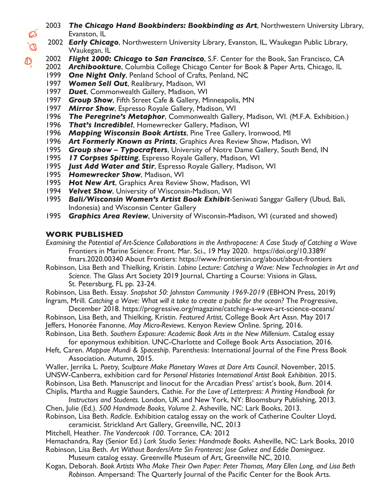- 2003 *The Chicago Hand Bookbinders: Bookbinding as Art*, Northwestern University Library, Evanston, IL
- 2002 *Early Chicago*, Northwestern University Library, Evanston, IL, Waukegan Public Library, Waukegan, IL
- 2002 *Flight 2000: Chicago to San Francisco*, S.F. Center for the Book, San Francisco, CA
- 2002 *Archibookture*, Columbia College Chicago Center for Book & Paper Arts, Chicago, IL
- 1999 *One Night Only*, Penland School of Crafts, Penland, NC
- 1997 *Women Sell Out*, Realibrary, Madison, WI
- 1997 *Duet*, Commonwealth Gallery, Madison, WI
- 1997 *Group Show*, Fifth Street Cafe & Gallery, Minneapolis, MN
- 1997 *Mirror Show*, Espresso Royale Gallery, Madison, WI
- 1996 *The Peregrine's Metaphor*, Commonwealth Gallery, Madison, WI. (M.F.A. Exhibition.)
- 1996 *That's Incredible!*, Homewrecker Gallery, Madison, WI
- 1996 *Mapping Wisconsin Book Artists*, Pine Tree Gallery, Ironwood, MI
- 1996 *Art Formerly Known as Prints*, Graphics Area Review Show, Madison, WI
- 1995 *Group show Typocrafters*, University of Notre Dame Gallery, South Bend, IN
- 1995 *17 Corpses Spitting*, Espresso Royale Gallery, Madison, WI
- 1995 *Just Add Water and Stir*, Espresso Royale Gallery, Madison, WI
- 1995 *Homewrecker Show*, Madison, WI
- 1995 *Hot New Art*, Graphics Area Review Show, Madison, WI
- 1994 *Velvet Show*, University of Wisconsin-Madison, WI
- 1995 *Bali/Wisconsin Women's Artist Book Exhibit*-Seniwati Sanggar Gallery (Ubud, Bali, Indonesia) and Wisconsin Center Gallery
- 1995 *Graphics Area Review*, University of Wisconsin-Madison, WI (curated and showed)

#### **WORK PUBLISHED**

- *Examining the Potential of Art-Science Collaborations in the Anthropocene: A Case Study of Catching a Wave* Frontiers in Marine Science: Front. Mar. Sci., 19 May 2020. https://doi.org/10.3389/ fmars.2020.00340 About Frontiers: https://www.frontiersin.org/about/about-frontiers
- Robinson, Lisa Beth and Thielking, Kristin. *Labino Lecture: Catching a Wave: New Technologies in Art and Science*. The Glass Art Society 2019 Journal, Charting a Course: Visions in Glass, St. Petersburg, FL pp. 23-24.

Robinson, Lisa Beth. Essay. *Snapshot 50: Johnston Community 1969-2019* (EBHON Press, 2019) Ingram, Mrill. *Catching a Wave: What will it take to create a public for the ocean?* The Progressive,

December 2018. https://progressive.org/magazine/catching-a-wave-art-science-oceans/ Robinson, Lisa Beth, and Thielking, Kristin. *Featured Artist*, College Book Art Assn. May 2017 Jeffers, Honorée Fanonne. *May Micro-Reviews*. Kenyon Review Online. Spring, 2016.

Robinson, Lisa Beth. *Southern Exposure: Academic Book Arts in the New Millenium*. Catalog essay for eponymous exhibition. UNC-Charlotte and College Book Arts Association, 2016.

Heft, Caren. *Mappae Mundi & Spaceship*. Parenthesis: International Journal of the Fine Press Book Association. Autumn, 2015.

- Waller, Jerrika L. *Poetry, Sculpture Make Planetary Waves at Dare Arts Council*. November, 2015. UNSW-Canberra, exhibition card for *Personal Histories International Artist Book Exhibition*. 2015. Robinson, Lisa Beth. Manuscript and linocut for the Arcadian Press' artist's book, *Burn*. 2014. Chiplis, Martha and Ruggie Saunders, Cathie. *For the Love of Letterpress: A Printing Handbook for*
- *Instructors and Students.* London, UK and New York, NY: Bloomsbury Publishing, 2013. Chen, Julie (Ed.). *500 Handmade Books, Volume 2*. Asheville, NC: Lark Books, 2013.
- Robinson, Lisa Beth. *Radicle*. Exhibition catalog essay on the work of Catherine Coulter Lloyd, ceramicist. Strickland Art Gallery, Greenville, NC, 2013

Mitchell, Heather. *The Vandercook 100*. Torrance, CA: 2012

Hemachandra, Ray (Senior Ed.) *Lark Studio Series: Handmade Books.* Asheville, NC: Lark Books, 2010

- Robinson, Lisa Beth. *Art Without Borders/Arte Sin Fronteras: Jose Galvez and Eddie Dominguez*.
	- Museum catalog essay. Greenville Museum of Art, Greenville NC, 2010.
- Kogan, Deborah. *Book Artists Who Make Their Own Paper: Peter Thomas, Mary Ellen Long, and Lisa Beth Robinson*. Ampersand: The Quarterly Journal of the Pacific Center for the Book Arts.

 $\varnothing$  $\overline{\mathcal{D}}$ 

 $\bigcirc$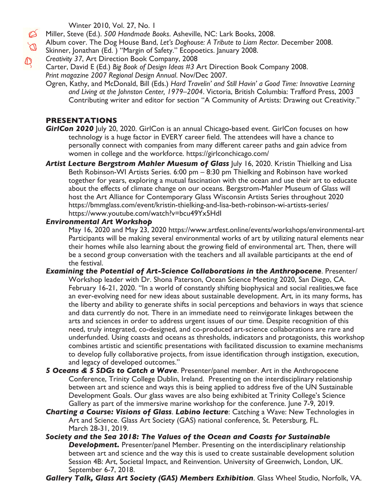Winter 2010, Vol. 27, No. 1

Miller, Steve (Ed.). *500 Handmade Books*. Asheville, NC: Lark Books, 2008.

- Album cover. The Dog House Band, *Let's Doghouse: A Tribute to Liam Rector.* December 2008.  $\overline{\mathcal{D}}$ 
	- Skinner, Jonathan (Ed. ) "Margin of Safety." Ecopoetics. January 2008.
	- *Creativity 37*, Art Direction Book Company, 2008

Carter, David E (Ed.) *Big Book of Design Ideas #3* Art Direction Book Company 2008. *Print magazine 2007 Regional Design Annual*. Nov/Dec 2007.

Ogren, Kathy, and McDonald, Bill (Eds.) *Hard Travelin' and Still Havin' a Good Time: Innovative Learning and Living at the Johnston Center, 1979–2004*. Victoria, British Columbia: Trafford Press, 2003 Contributing writer and editor for section "A Community of Artists: Drawing out Creativity."

### **PRESENTATIONS**

 $\mathbb{Q}$ 

- **GirlCon 2020** *July* 20, 2020. GirlCon is an annual Chicago-based event. GirlCon focuses on how technology is a huge factor in EVERY career field. The attendees will have a chance to personally connect with companies from many different career paths and gain advice from women in college and the workforce. https://girlconchicago.com/
- Artist Lecture Bergstrom Mahler Muesum of Glass |uly 16, 2020. Kristin Thielking and Lisa Beth Robinson-WI Artists Series. 6:00 pm – 8:30 pm Thielking and Robinson have worked together for years, exploring a mutual fascination with the ocean and use their art to educate about the effects of climate change on our oceans. Bergstrom-Mahler Museum of Glass will host the Art Alliance for Contemporary Glass Wisconsin Artists Series throughout 2020 https://bmmglass.com/event/kristin-thielking-and-lisa-beth-robinson-wi-artists-series/ https://www.youtube.com/watch?v=bcu49Yx5HdI

### *Environmental Art Workshop*

May 16, 2020 and May 23, 2020 https://www.artfest.online/events/workshops/environmental-art Participants will be making several environmental works of art by utilizing natural elements near their homes while also learning about the growing field of environmental art. Then, there will be a second group conversation with the teachers and all available participants at the end of the festival.

- **Examining the Potential of Art-Science Collaborations in the Anthropocene.** Presenter/ Workshop leader with Dr. Shona Paterson, Ocean Science Meeting 2020, San Diego, CA. February 16-21, 2020. "In a world of constantly shifting biophysical and social realities, we face an ever-evolving need for new ideas about sustainable development. Art, in its many forms, has the liberty and ability to generate shifts in social perceptions and behaviors in ways that science and data currently do not. There in an immediate need to reinvigorate linkages between the arts and sciences in order to address urgent issues of our time. Despite recognition of this need, truly integrated, co-designed, and co-produced art-science collaborations are rare and underfunded. Using coasts and oceans as thresholds, indicators and protagonists, this workshop combines artistic and scientific presentations with facilitated discussion to examine mechanisms to develop fully collaborative projects, from issue identification through instigation, execution, and legacy of developed outcomes."
- *5 Oceans & 5 SDGs to Catch a Wave*. Presenter/panel member. Art in the Anthropocene Conference, Trinity College Dublin, Ireland. Presenting on the interdisciplinary relationship between art and science and ways this is being applied to address five of the UN Sustainable Development Goals. Our glass waves are also being exhibited at Trinity College's Science Gallery as part of the immersive marine workshop for the conference. June 7-9, 2019.
- *Charting a Course: Visions of Glass*. *Labino lecture*: Catching a Wave: New Technologies in Art and Science. Glass Art Society (GAS) national conference, St. Petersburg, FL. March 28-31, 2019.
- *Society and the Sea 2018: The Values of the Ocean and Coasts for Sustainable* **Development.** Presenter/panel Member. Presenting on the interdisciplinary relationship between art and science and the way this is used to create sustainable development solution Session 4B: Art, Societal Impact, and Reinvention. University of Greenwich, London, UK. September 6-7, 2018.

*Gallery Talk, Glass Art Society (GAS) Members Exhibition*. Glass Wheel Studio, Norfolk, VA.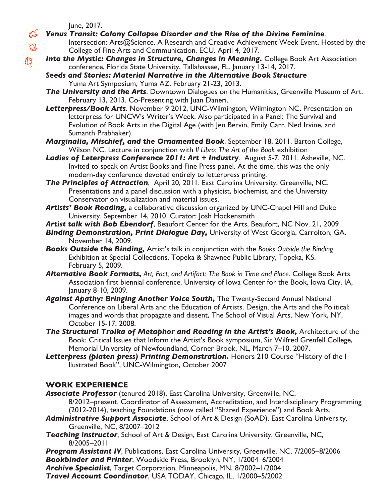June, 2017.

Ø  $\varnothing$ 

 $\mathbb{Q}$ 

- *Venus Transit: Colony Collapse Disorder and the Rise of the Divine Feminine*.
	- Intersection: Arts@Science. A Research and Creative Achievement Week Event. Hosted by the College of Fine Arts and Communication, ECU. April 4, 2017.
	- **Into the Mystic: Changes in Structure, Changes in Meaning.** College Book Art Association conference, Florida State University, Tallahassee, FL. January 13-14, 2017.
	- *Seeds and Stories: Material Narrative in the Alternative Book Structure* Yuma Art Symposium, Yuma AZ. February 21-23, 2013.
	- *The University and the Arts*. Downtown Dialogues on the Humanities, Greenville Museum of Art. February 13, 2013. Co-Presenting with Juan Daneri.
	- *Letterpress/Book Arts*. November 9 2012, UNC-Wilmington, Wilmington NC. Presentation on letterpress for UNCW's Writer's Week. Also participated in a Panel: The Survival and Evolution of Book Arts in the Digital Age (with Jen Bervin, Emily Carr, Ned Irvine, and Sumanth Prabhaker).
	- *Marginalia, Mischief, and the Ornamented Book*. September 18, 2011. Barton College, Wilson NC. Lecture in conjunction with *Il Libro: The Art of the Book* exhibition
	- *Ladies of Leterpress Conference 2011: Art + Industry*. August 5-7, 2011. Asheville, NC. Invited to speak on Artist Books and Fine Press panel. At the time, this was the only modern-day conference devoted entirely to letterpress printing.
	- *The Principles of Attraction*, April 20, 2011. East Carolina University, Greenville, NC. Presentations and a panel discussion with a physicist, biochemist, and the University Conservator on visualization and material issues.
	- *Artists' Book Reading,* a collaborative discussion organized by UNC-Chapel Hill and Duke University. September 14, 2010. Curator: Josh Hockensmith
	- *Artist talk with Bob Ebendorf*, Beaufort Center for the Arts, Beaufort, NC Nov. 21, 2009
	- *Binding Demonstration, Print Dialogue Day,* University of West Georgia, Carrolton, GA. November 14, 2009.
	- *Books Outside the Binding,* Artist's talk in conjunction with the *Books Outside the Binding* Exhibition at Special Collections, Topeka & Shawnee Public Library, Topeka, KS. February 5, 2009.
	- *Alternative Book Formats, Art, Fact, and Artifact: The Book in Time and Place*. College Book Arts Association first biennial conference, University of Iowa Center for the Book, Iowa City, IA, January 8-10, 2009.
	- Against Apathy: Bringing Another Voice South, The Twenty-Second Annual National Conference on Liberal Arts and the Education of Artists. Design, the Arts and the Political: images and words that propagate and dissent, The School of Visual Arts, New York, NY, October 15-17, 2008.
	- *The Structural Troika of Metaphor and Reading in the Artist's Book,* Architecture of the Book: Critical Issues that Inform the Artist's Book symposium, Sir Wilfred Grenfell College, Memorial University of Newfoundland, Corner Brook, NL, March 7–10, 2007.
	- *Letterpress (platen press) Printing Demonstration.* Honors 210 Course "History of the I llustrated Book", UNC-Wilmington, October 2007

### **WORK EXPERIENCE**

- *Associate Professor* (tenured 2018). East Carolina University, Greenville, NC, 8/2012–present. Coordinator of Assessment, Accreditation, and Interdisciplinary Programming (2012-2014), teaching Foundations (now called "Shared Experience") and Book Arts.
- *Administrative Support Associate*, School of Art & Design (SoAD), East Carolina University, Greenville, NC, 8/2007–2012
- *Teaching instructor*, School of Art & Design, East Carolina University, Greenville, NC, 8/2005–2011
- **Program Assistant IV**, Publications, East Carolina University, Greenville, NC, 7/2005-8/2006
- *Bookbinder and Printer*, Woodside Press, Brooklyn, NY, 1/2004–6/2004

*Archive Specialist*, Target Corporation, Minneapolis, MN, 8/2002–1/2004

*Travel Account Coordinator*, USA TODAY, Chicago, IL, 1/2000–5/2002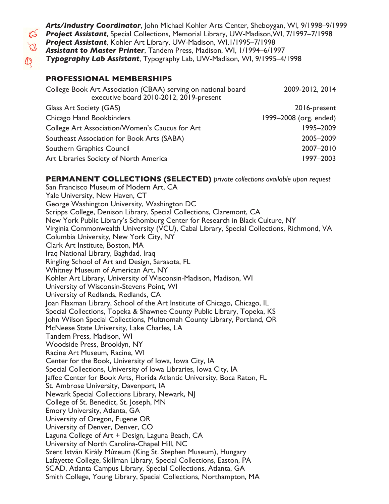*Arts/Industry Coordinator*, John Michael Kohler Arts Center, Sheboygan, WI, 9/1998–9/1999 *Project Assistant*, Special Collections, Memorial Library, UW-Madison,WI, 7/1997–7/1998 *Project Assistant*, Kohler Art Library, UW-Madison, WI,1/1995–7/1998 *Assistant to Master Printer*, Tandem Press, Madison, WI, 1/1994–6/1997 *Typography Lab Assistant*, Typography Lab, UW-Madison, WI, 9/1995–4/1998

#### **PROFESSIONAL MEMBERSHIPS**

| College Book Art Association (CBAA) serving on national board<br>executive board 2010-2012, 2019-present | 2009-2012, 2014        |
|----------------------------------------------------------------------------------------------------------|------------------------|
| Glass Art Society (GAS)                                                                                  | 2016-present           |
| Chicago Hand Bookbinders                                                                                 | 1999-2008 (org. ended) |
| College Art Association/Women's Caucus for Art                                                           | 1995-2009              |
| Southeast Association for Book Arts (SABA)                                                               | 2005-2009              |
| Southern Graphics Council                                                                                | 2007-2010              |
| Art Libraries Society of North America                                                                   | 1997-2003              |

#### **PERMANENT COLLECTIONS (SELECTED)** *private collections available upon request*

San Francisco Museum of Modern Art, CA Yale University, New Haven, CT George Washington University, Washington DC Scripps College, Denison Library, Special Collections, Claremont, CA New York Public Library's Schomburg Center for Research in Black Culture, NY Virginia Commonwealth University (VCU), Cabal Library, Special Collections, Richmond, VA Columbia University, New York City, NY Clark Art Institute, Boston, MA Iraq National Library, Baghdad, Iraq Ringling School of Art and Design, Sarasota, FL Whitney Museum of American Art, NY Kohler Art Library, University of Wisconsin-Madison, Madison, WI University of Wisconsin-Stevens Point, WI University of Redlands, Redlands, CA Joan Flaxman Library, School of the Art Institute of Chicago, Chicago, IL Special Collections, Topeka & Shawnee County Public Library, Topeka, KS John Wilson Special Collections, Multnomah County Library, Portland, OR McNeese State University, Lake Charles, LA Tandem Press, Madison, WI Woodside Press, Brooklyn, NY Racine Art Museum, Racine, WI Center for the Book, University of Iowa, Iowa City, IA Special Collections, University of Iowa Libraries, Iowa City, IA Jaffee Center for Book Arts, Florida Atlantic University, Boca Raton, FL St. Ambrose University, Davenport, IA Newark Special Collections Library, Newark, NJ College of St. Benedict, St. Joseph, MN Emory University, Atlanta, GA University of Oregon, Eugene OR University of Denver, Denver, CO Laguna College of Art + Design, Laguna Beach, CA University of North Carolina-Chapel Hill, NC Szent István Király Múzeum (King St. Stephen Museum), Hungary Lafayette College, Skillman Library, Special Collections, Easton, PA SCAD, Atlanta Campus Library, Special Collections, Atlanta, GA Smith College, Young Library, Special Collections, Northampton, MA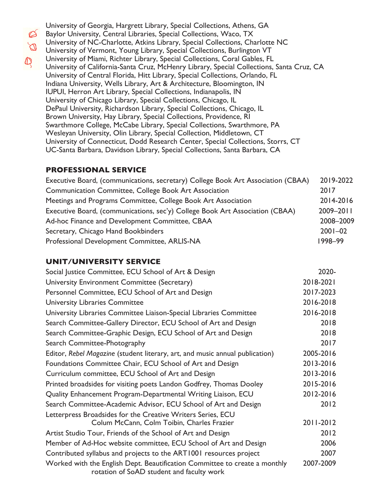$\varnothing$  $\mathbb{Q}$ 

University of Georgia, Hargrett Library, Special Collections, Athens, GA Baylor University, Central Libraries, Special Collections, Waco, TX University of NC-Charlotte, Atkins Library, Special Collections, Charlotte NC University of Vermont, Young Library, Special Collections, Burlington VT University of Miami, Richter Library, Special Collections, Coral Gables, FL University of California-Santa Cruz, McHenry Library, Special Collections, Santa Cruz, CA University of Central Florida, Hitt Library, Special Collections, Orlando, FL Indiana University, Wells Library, Art & Architecture, Bloomington, IN IUPUI, Herron Art Library, Special Collections, Indianapolis, IN University of Chicago Library, Special Collections, Chicago, IL DePaul University, Richardson Library, Special Collections, Chicago, IL Brown University, Hay Library, Special Collections, Providence, RI Swarthmore College, McCabe Library, Special Collections, Swarthmore, PA Wesleyan University, Olin Library, Special Collection, Middletown, CT University of Connecticut, Dodd Research Center, Special Collections, Storrs, CT UC-Santa Barbara, Davidson Library, Special Collections, Santa Barbara, CA

### **PROFESSIONAL SERVICE**

| Executive Board, (communications, secretary) College Book Art Association (CBAA) | 2019-2022   |
|----------------------------------------------------------------------------------|-------------|
| Communication Committee, College Book Art Association                            | 2017        |
| Meetings and Programs Committee, College Book Art Association                    | 2014-2016   |
| Executive Board, (communications, sec'y) College Book Art Association (CBAA)     | 2009-2011   |
| Ad-hoc Finance and Development Committee, CBAA                                   | 2008-2009   |
| Secretary, Chicago Hand Bookbinders                                              | $2001 - 02$ |
| Professional Development Committee, ARLIS-NA                                     | 1998-99     |

### **UNIT/UNIVERSITY SERVICE**

| Social Justice Committee, ECU School of Art & Design                                                                    | 2020-     |
|-------------------------------------------------------------------------------------------------------------------------|-----------|
| University Environment Committee (Secretary)                                                                            | 2018-2021 |
| Personnel Committee, ECU School of Art and Design                                                                       | 2017-2023 |
| <b>University Libraries Committee</b>                                                                                   | 2016-2018 |
| University Libraries Committee Liaison-Special Libraries Committee                                                      | 2016-2018 |
| Search Committee-Gallery Director, ECU School of Art and Design                                                         | 2018      |
| Search Committee-Graphic Design, ECU School of Art and Design                                                           | 2018      |
| Search Committee-Photography                                                                                            | 2017      |
| Editor, Rebel Magazine (student literary, art, and music annual publication)                                            | 2005-2016 |
| Foundations Committee Chair, ECU School of Art and Design                                                               | 2013-2016 |
| Curriculum committee, ECU School of Art and Design                                                                      | 2013-2016 |
| Printed broadsides for visiting poets Landon Godfrey, Thomas Dooley                                                     | 2015-2016 |
| Quality Enhancement Program-Departmental Writing Liaison, ECU                                                           | 2012-2016 |
| Search Committee-Academic Advisor, ECU School of Art and Design                                                         | 2012      |
| Letterpress Broadsides for the Creative Writers Series, ECU                                                             |           |
| Colum McCann, Colm Toibin, Charles Frazier                                                                              | 2011-2012 |
| Artist Studio Tour, Friends of the School of Art and Design                                                             | 2012      |
| Member of Ad-Hoc website committee, ECU School of Art and Design                                                        | 2006      |
| Contributed syllabus and projects to the ART1001 resources project                                                      | 2007      |
| Worked with the English Dept. Beautification Committee to create a monthly<br>rotation of SoAD student and faculty work | 2007-2009 |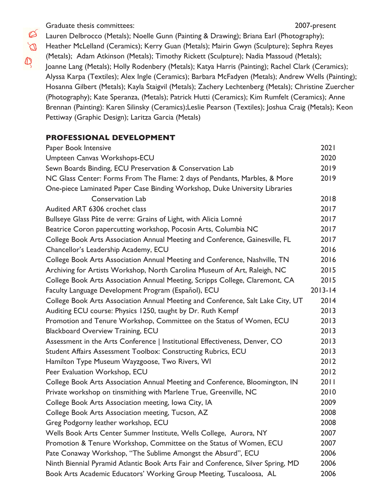Graduate thesis committees: 2007-present

Ø

- Lauren Delbrocco (Metals); Noelle Gunn (Painting & Drawing); Briana Earl (Photography);
- $\varnothing$ Heather McLelland (Ceramics); Kerry Guan (Metals); Mairin Gwyn (Sculpture); Sephra Reyes (Metals); Adam Atkinson (Metals); Timothy Rickett (Sculpture); Nadia Massoud (Metals);  $\, \mathbb{Q} \,$ Joanne Lang (Metals); Holly Rodenbery (Metals); Katya Harris (Painting); Rachel Clark (Ceramics); Alyssa Karpa (Textiles); Alex Ingle (Ceramics); Barbara McFadyen (Metals); Andrew Wells (Painting); Hosanna Gilbert (Metals); Kayla Staigvil (Metals); Zachery Lechtenberg (Metals); Christine Zuercher (Photography); Kate Speranza, (Metals); Patrick Hutti (Ceramics); Kim Rumfelt (Ceramics); Anne Brennan (Painting): Karen Silinsky (Ceramics);Leslie Pearson (Textiles); Joshua Craig (Metals); Keon Pettiway (Graphic Design); Laritza Garcia (Metals)

#### **PROFESSIONAL DEVELOPMENT**

| Paper Book Intensive                                                             | 2021        |
|----------------------------------------------------------------------------------|-------------|
| Umpteen Canvas Workshops-ECU                                                     | 2020        |
| Sewn Boards Binding, ECU Preservation & Conservation Lab                         | 2019        |
| NC Glass Center: Forms From The Flame: 2 days of Pendants, Marbles, & More       | 2019        |
| One-piece Laminated Paper Case Binding Workshop, Duke University Libraries       |             |
| <b>Conservation Lab</b>                                                          | 2018        |
| Audited ART 6306 crochet class                                                   | 2017        |
| Bullseye Glass Pâte de verre: Grains of Light, with Alicia Lomné                 | 2017        |
| Beatrice Coron papercutting workshop, Pocosin Arts, Columbia NC                  | 2017        |
| College Book Arts Association Annual Meeting and Conference, Gainesville, FL     | 2017        |
| Chancellor's Leadership Academy, ECU                                             | 2016        |
| College Book Arts Association Annual Meeting and Conference, Nashville, TN       | 2016        |
| Archiving for Artists Workshop, North Carolina Museum of Art, Raleigh, NC        | 2015        |
| College Book Arts Association Annual Meeting, Scripps College, Claremont, CA     | 2015        |
| Faculty Language Development Program (Español), ECU                              | $2013 - 14$ |
| College Book Arts Association Annual Meeting and Conference, Salt Lake City, UT  | 2014        |
| Auditing ECU course: Physics 1250, taught by Dr. Ruth Kempf                      | 2013        |
| Promotion and Tenure Workshop, Committee on the Status of Women, ECU             | 2013        |
| <b>Blackboard Overview Training, ECU</b>                                         | 2013        |
| Assessment in the Arts Conference   Institutional Effectiveness, Denver, CO      | 2013        |
| Student Affairs Assessment Toolbox: Constructing Rubrics, ECU                    | 2013        |
| Hamilton Type Museum Wayzgoose, Two Rivers, WI                                   | 2012        |
| Peer Evaluation Workshop, ECU                                                    | 2012        |
| College Book Arts Association Annual Meeting and Conference, Bloomington, IN     | 2011        |
| Private workshop on tinsmithing with Marlene True, Greenville, NC                | 2010        |
| College Book Arts Association meeting, Iowa City, IA                             | 2009        |
| College Book Arts Association meeting, Tucson, AZ                                | 2008        |
| Greg Podgorny leather workshop, ECU                                              | 2008        |
| Wells Book Arts Center Summer Institute, Wells College, Aurora, NY               | 2007        |
| Promotion & Tenure Workshop, Committee on the Status of Women, ECU               | 2007        |
| Pate Conaway Workshop, "The Sublime Amongst the Absurd", ECU                     | 2006        |
| Ninth Biennial Pyramid Atlantic Book Arts Fair and Conference, Silver Spring, MD | 2006        |
| Book Arts Academic Educators' Working Group Meeting, Tuscaloosa, AL              | 2006        |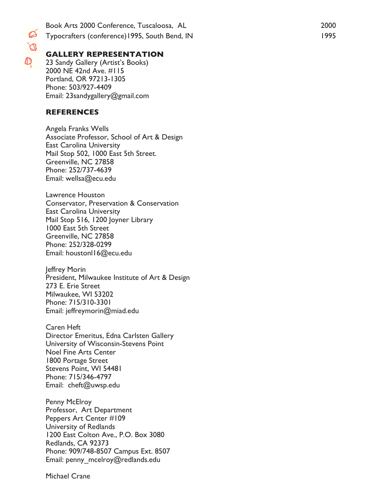Book Arts 2000 Conference, Tuscaloosa, AL 2000 Typocrafters (conference)1995, South Bend, IN 1995

#### **GALLERY REPRESENTATION**

23 Sandy Gallery (Artist's Books) 2000 NE 42nd Ave. #115 Portland, OR 97213-1305 Phone: 503/927-4409 Email: 23sandygallery@gmail.com

#### **REFERENCES**

 $\, \mathbb{Q} \,$ 

Angela Franks Wells Associate Professor, School of Art & Design East Carolina University Mail Stop 502, 1000 East 5th Street. Greenville, NC 27858 Phone: 252/737-4639 Email: wellsa@ecu.edu

Lawrence Houston Conservator, Preservation & Conservation East Carolina University Mail Stop 516, 1200 Joyner Library 1000 East 5th Street Greenville, NC 27858 Phone: 252/328-0299 Email: houstonl16@ecu.edu

Jeffrey Morin President, Milwaukee Institute of Art & Design 273 E. Erie Street Milwaukee, WI 53202 Phone: 715/310-3301 Email: jeffreymorin@miad.edu

Caren Heft Director Emeritus, Edna Carlsten Gallery University of Wisconsin-Stevens Point Noel Fine Arts Center 1800 Portage Street Stevens Point, WI 54481 Phone: 715/346-4797 Email: cheft@uwsp.edu

Penny McElroy Professor, Art Department Peppers Art Center #109 University of Redlands 1200 East Colton Ave., P.O. Box 3080 Redlands, CA 92373 Phone: 909/748-8507 Campus Ext. 8507 Email: penny\_mcelroy@redlands.edu

Michael Crane